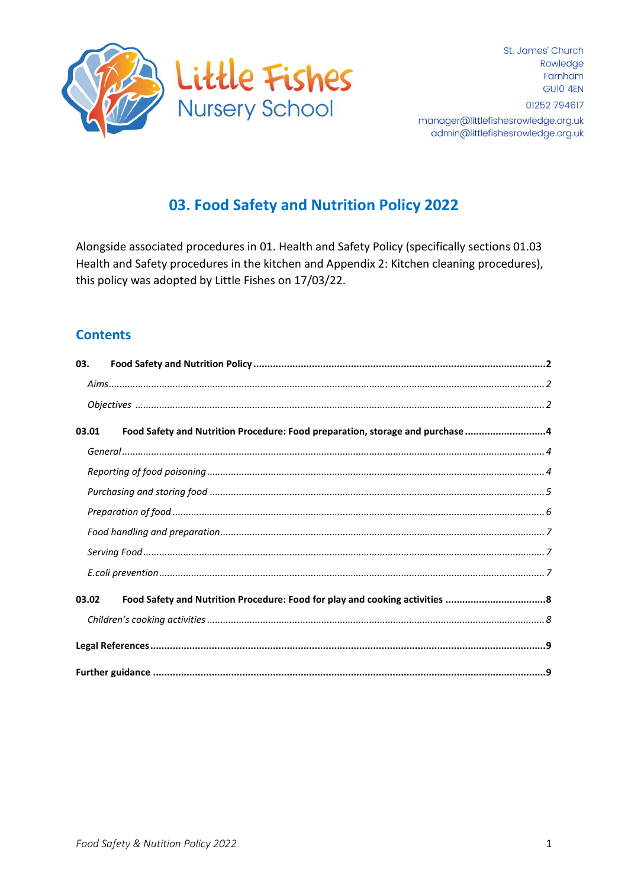

#### manager@littlefishesrowledge.org.uk admin@littlefishesrowledge.org.uk

# 03. Food Safety and Nutrition Policy 2022

Alongside associated procedures in 01. Health and Safety Policy (specifically sections 01.03 Health and Safety procedures in the kitchen and Appendix 2: Kitchen cleaning procedures), this policy was adopted by Little Fishes on 17/03/22.

## **Contents**

| 03.   |                                                                               |  |  |
|-------|-------------------------------------------------------------------------------|--|--|
|       |                                                                               |  |  |
|       |                                                                               |  |  |
| 03.01 | Food Safety and Nutrition Procedure: Food preparation, storage and purchase 4 |  |  |
|       |                                                                               |  |  |
|       |                                                                               |  |  |
|       |                                                                               |  |  |
|       |                                                                               |  |  |
|       |                                                                               |  |  |
|       |                                                                               |  |  |
|       |                                                                               |  |  |
| 03.02 |                                                                               |  |  |
|       |                                                                               |  |  |
|       |                                                                               |  |  |
|       |                                                                               |  |  |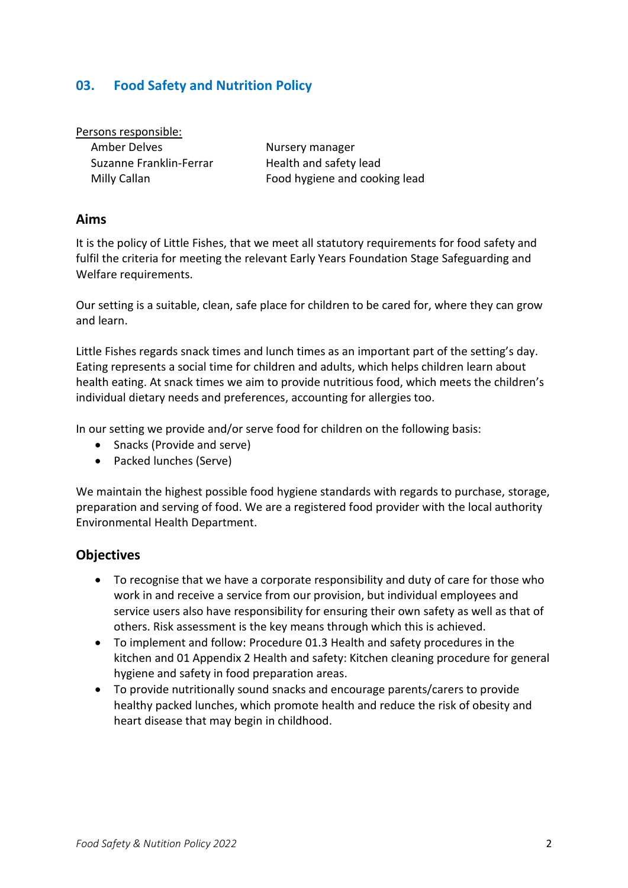### <span id="page-1-0"></span>**03. Food Safety and Nutrition Policy**

Persons responsible:

Amber Delves Nursery manager Suzanne Franklin-Ferrar Health and safety lead

Milly Callan **Food hygiene and cooking lead** 

#### <span id="page-1-1"></span>**Aims**

It is the policy of Little Fishes, that we meet all statutory requirements for food safety and fulfil the criteria for meeting the relevant Early Years Foundation Stage Safeguarding and Welfare requirements.

Our setting is a suitable, clean, safe place for children to be cared for, where they can grow and learn.

Little Fishes regards snack times and lunch times as an important part of the setting's day. Eating represents a social time for children and adults, which helps children learn about health eating. At snack times we aim to provide nutritious food, which meets the children's individual dietary needs and preferences, accounting for allergies too.

In our setting we provide and/or serve food for children on the following basis:

- Snacks (Provide and serve)
- Packed lunches (Serve)

We maintain the highest possible food hygiene standards with regards to purchase, storage, preparation and serving of food. We are a registered food provider with the local authority Environmental Health Department.

### <span id="page-1-2"></span>**Objectives**

- To recognise that we have a corporate responsibility and duty of care for those who work in and receive a service from our provision, but individual employees and service users also have responsibility for ensuring their own safety as well as that of others. Risk assessment is the key means through which this is achieved.
- To implement and follow: Procedure 01.3 Health and safety procedures in the kitchen and 01 Appendix 2 Health and safety: Kitchen cleaning procedure for general hygiene and safety in food preparation areas.
- To provide nutritionally sound snacks and encourage parents/carers to provide healthy packed lunches, which promote health and reduce the risk of obesity and heart disease that may begin in childhood.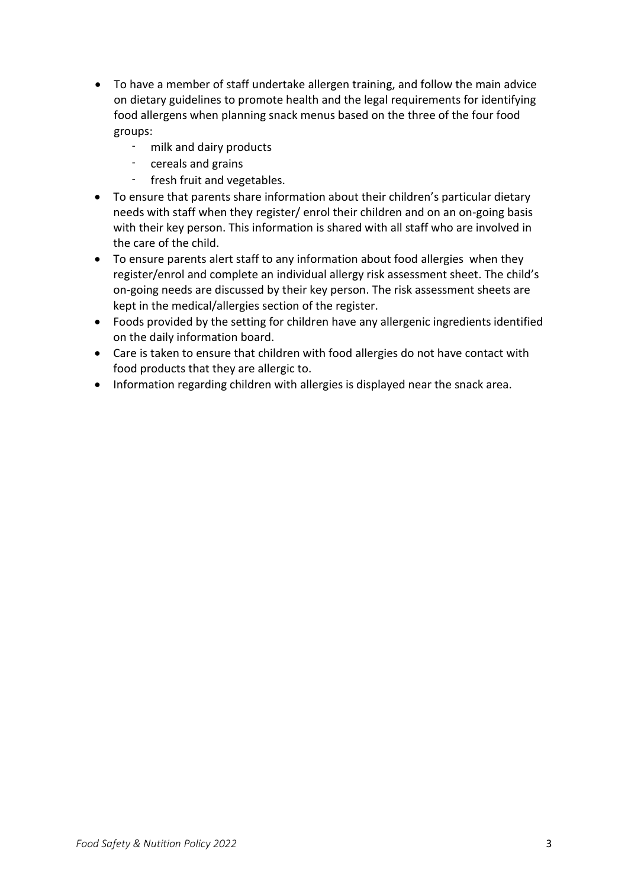- To have a member of staff undertake allergen training, and follow the main advice on dietary guidelines to promote health and the legal requirements for identifying food allergens when planning snack menus based on the three of the four food groups:
	- milk and dairy products
	- cereals and grains
	- fresh fruit and vegetables.
- To ensure that parents share information about their children's particular dietary needs with staff when they register/ enrol their children and on an on-going basis with their key person. This information is shared with all staff who are involved in the care of the child.
- To ensure parents alert staff to any information about food allergies when they register/enrol and complete an individual allergy risk assessment sheet. The child's on-going needs are discussed by their key person. The risk assessment sheets are kept in the medical/allergies section of the register.
- Foods provided by the setting for children have any allergenic ingredients identified on the daily information board.
- Care is taken to ensure that children with food allergies do not have contact with food products that they are allergic to.
- Information regarding children with allergies is displayed near the snack area.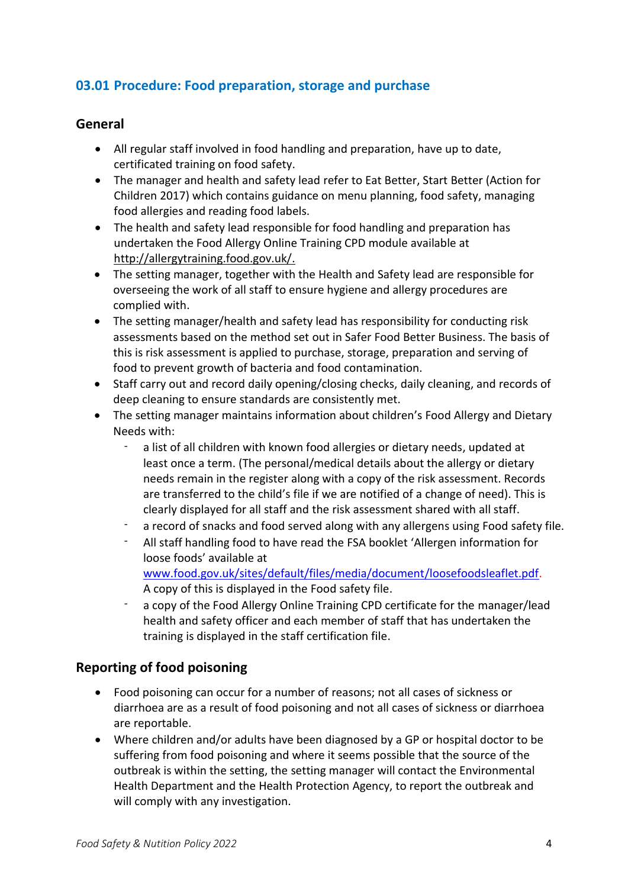## <span id="page-3-0"></span>**03.01 Procedure: Food preparation, storage and purchase**

#### <span id="page-3-1"></span>**General**

- All regular staff involved in food handling and preparation, have up to date, certificated training on food safety.
- The manager and health and safety lead refer to Eat Better, Start Better (Action for Children 2017) which contains guidance on menu planning, food safety, managing food allergies and reading food labels.
- The health and safety lead responsible for food handling and preparation has undertaken the Food Allergy Online Training CPD module available at [http://allergytraining.food.gov.uk/.](http://allergytraining.food.gov.uk/)
- The setting manager, together with the Health and Safety lead are responsible for overseeing the work of all staff to ensure hygiene and allergy procedures are complied with.
- The setting manager/health and safety lead has responsibility for conducting risk assessments based on the method set out in Safer Food Better Business. The basis of this is risk assessment is applied to purchase, storage, preparation and serving of food to prevent growth of bacteria and food contamination.
- Staff carry out and record daily opening/closing checks, daily cleaning, and records of deep cleaning to ensure standards are consistently met.
- The setting manager maintains information about children's Food Allergy and Dietary Needs with:
	- a list of all children with known food allergies or dietary needs, updated at least once a term. (The personal/medical details about the allergy or dietary needs remain in the register along with a copy of the risk assessment. Records are transferred to the child's file if we are notified of a change of need). This is clearly displayed for all staff and the risk assessment shared with all staff.
	- a record of snacks and food served along with any allergens using Food safety file.
	- All staff handling food to have read the FSA booklet 'Allergen information for loose foods' available at [www.food.gov.uk/sites/default/files/media/document/loosefoodsleaflet.pdf.](http://www.food.gov.uk/sites/default/files/media/document/loosefoodsleaflet.pdf)
	- A copy of this is displayed in the Food safety file. a copy of the Food Allergy Online Training CPD certificate for the manager/lead health and safety officer and each member of staff that has undertaken the training is displayed in the staff certification file.

### <span id="page-3-2"></span>**Reporting of food poisoning**

- Food poisoning can occur for a number of reasons; not all cases of sickness or diarrhoea are as a result of food poisoning and not all cases of sickness or diarrhoea are reportable.
- Where children and/or adults have been diagnosed by a GP or hospital doctor to be suffering from food poisoning and where it seems possible that the source of the outbreak is within the setting, the setting manager will contact the Environmental Health Department and the Health Protection Agency, to report the outbreak and will comply with any investigation.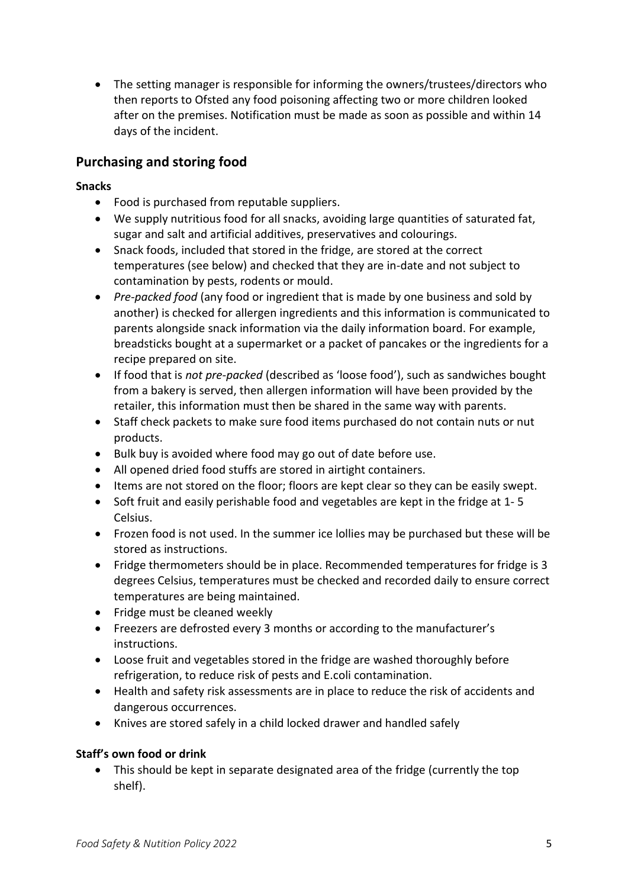• The setting manager is responsible for informing the owners/trustees/directors who then reports to Ofsted any food poisoning affecting two or more children looked after on the premises. Notification must be made as soon as possible and within 14 days of the incident.

## <span id="page-4-0"></span>**Purchasing and storing food**

#### **Snacks**

- Food is purchased from reputable suppliers.
- We supply nutritious food for all snacks, avoiding large quantities of saturated fat, sugar and salt and artificial additives, preservatives and colourings.
- Snack foods, included that stored in the fridge, are stored at the correct temperatures (see below) and checked that they are in-date and not subject to contamination by pests, rodents or mould.
- *Pre-packed food* (any food or ingredient that is made by one business and sold by another) is checked for allergen ingredients and this information is communicated to parents alongside snack information via the daily information board. For example, breadsticks bought at a supermarket or a packet of pancakes or the ingredients for a recipe prepared on site.
- If food that is *not pre-packed* (described as 'loose food'), such as sandwiches bought from a bakery is served, then allergen information will have been provided by the retailer, this information must then be shared in the same way with parents.
- Staff check packets to make sure food items purchased do not contain nuts or nut products.
- Bulk buy is avoided where food may go out of date before use.
- All opened dried food stuffs are stored in airtight containers.
- Items are not stored on the floor; floors are kept clear so they can be easily swept.
- Soft fruit and easily perishable food and vegetables are kept in the fridge at 1- 5 Celsius.
- Frozen food is not used. In the summer ice lollies may be purchased but these will be stored as instructions.
- Fridge thermometers should be in place. Recommended temperatures for fridge is 3 degrees Celsius, temperatures must be checked and recorded daily to ensure correct temperatures are being maintained.
- Fridge must be cleaned weekly
- Freezers are defrosted every 3 months or according to the manufacturer's instructions.
- Loose fruit and vegetables stored in the fridge are washed thoroughly before refrigeration, to reduce risk of pests and E.coli contamination.
- Health and safety risk assessments are in place to reduce the risk of accidents and dangerous occurrences.
- Knives are stored safely in a child locked drawer and handled safely

#### **Staff's own food or drink**

• This should be kept in separate designated area of the fridge (currently the top shelf).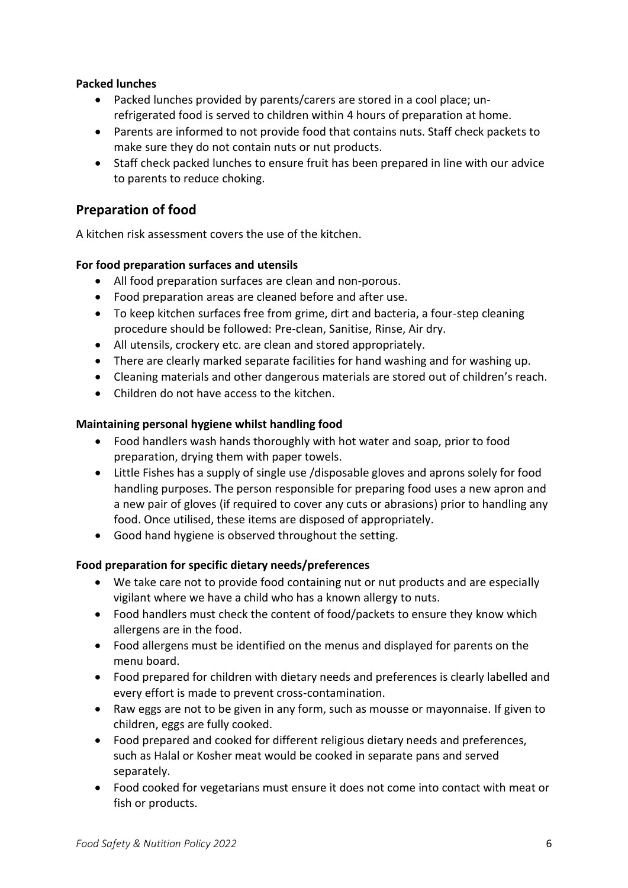#### **Packed lunches**

- Packed lunches provided by parents/carers are stored in a cool place; unrefrigerated food is served to children within 4 hours of preparation at home.
- Parents are informed to not provide food that contains nuts. Staff check packets to make sure they do not contain nuts or nut products.
- Staff check packed lunches to ensure fruit has been prepared in line with our advice to parents to reduce choking.

### <span id="page-5-0"></span>**Preparation of food**

A kitchen risk assessment covers the use of the kitchen.

#### **For food preparation surfaces and utensils**

- All food preparation surfaces are clean and non-porous.
- Food preparation areas are cleaned before and after use.
- To keep kitchen surfaces free from grime, dirt and bacteria, a four-step cleaning procedure should be followed: Pre-clean, Sanitise, Rinse, Air dry.
- All utensils, crockery etc. are clean and stored appropriately.
- There are clearly marked separate facilities for hand washing and for washing up.
- Cleaning materials and other dangerous materials are stored out of children's reach.
- Children do not have access to the kitchen.

#### **Maintaining personal hygiene whilst handling food**

- Food handlers wash hands thoroughly with hot water and soap, prior to food preparation, drying them with paper towels.
- Little Fishes has a supply of single use /disposable gloves and aprons solely for food handling purposes. The person responsible for preparing food uses a new apron and a new pair of gloves (if required to cover any cuts or abrasions) prior to handling any food. Once utilised, these items are disposed of appropriately.
- Good hand hygiene is observed throughout the setting.

#### **Food preparation for specific dietary needs/preferences**

- We take care not to provide food containing nut or nut products and are especially vigilant where we have a child who has a known allergy to nuts.
- Food handlers must check the content of food/packets to ensure they know which allergens are in the food.
- Food allergens must be identified on the menus and displayed for parents on the menu board.
- Food prepared for children with dietary needs and preferences is clearly labelled and every effort is made to prevent cross-contamination.
- Raw eggs are not to be given in any form, such as mousse or mayonnaise. If given to children, eggs are fully cooked.
- Food prepared and cooked for different religious dietary needs and preferences, such as Halal or Kosher meat would be cooked in separate pans and served separately.
- Food cooked for vegetarians must ensure it does not come into contact with meat or fish or products.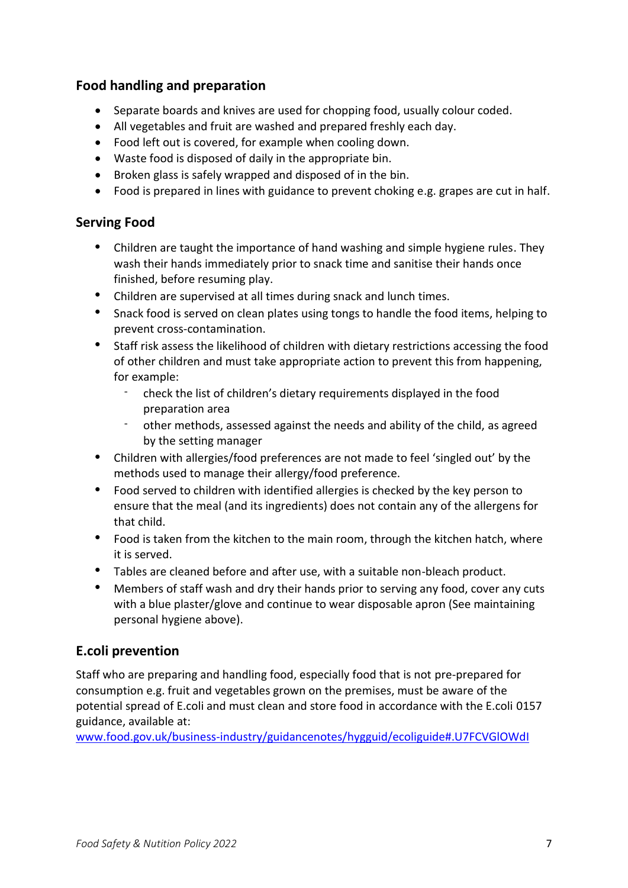## <span id="page-6-0"></span>**Food handling and preparation**

- Separate boards and knives are used for chopping food, usually colour coded.
- All vegetables and fruit are washed and prepared freshly each day.
- Food left out is covered, for example when cooling down.
- Waste food is disposed of daily in the appropriate bin.
- Broken glass is safely wrapped and disposed of in the bin.
- Food is prepared in lines with guidance to prevent choking e.g. grapes are cut in half.

## <span id="page-6-1"></span>**Serving Food**

- Children are taught the importance of hand washing and simple hygiene rules. They wash their hands immediately prior to snack time and sanitise their hands once finished, before resuming play.
- Children are supervised at all times during snack and lunch times.
- Snack food is served on clean plates using tongs to handle the food items, helping to prevent cross-contamination.
- Staff risk assess the likelihood of children with dietary restrictions accessing the food of other children and must take appropriate action to prevent this from happening, for example:
	- check the list of children's dietary requirements displayed in the food preparation area
	- other methods, assessed against the needs and ability of the child, as agreed by the setting manager
- Children with allergies/food preferences are not made to feel 'singled out' by the methods used to manage their allergy/food preference.
- Food served to children with identified allergies is checked by the key person to ensure that the meal (and its ingredients) does not contain any of the allergens for that child.
- Food is taken from the kitchen to the main room, through the kitchen hatch, where it is served.
- Tables are cleaned before and after use, with a suitable non-bleach product.
- Members of staff wash and dry their hands prior to serving any food, cover any cuts with a blue plaster/glove and continue to wear disposable apron (See maintaining personal hygiene above).

## <span id="page-6-2"></span>**E.coli prevention**

Staff who are preparing and handling food, especially food that is not pre-prepared for consumption e.g. fruit and vegetables grown on the premises, must be aware of the potential spread of E.coli and must clean and store food in accordance with the E.coli 0157 guidance, available at:

[www.food.gov.uk/business-industry/guidancenotes/hygguid/ecoliguide#.U7FCVGlOWdI](https://preschoolla.sharepoint.com/sites/COMM/Shared%20Documents/Pubs/Pubs%20Print%20Promo/Pub%20Drafts/A026%20Policies%20&%20Procedures%20for%20the%20EYFS%202021/A026%20FINAL/www.food.gov.uk/business-industry/guidancenotes/hygguid/ecoliguide#.U7FCVGlOWdI)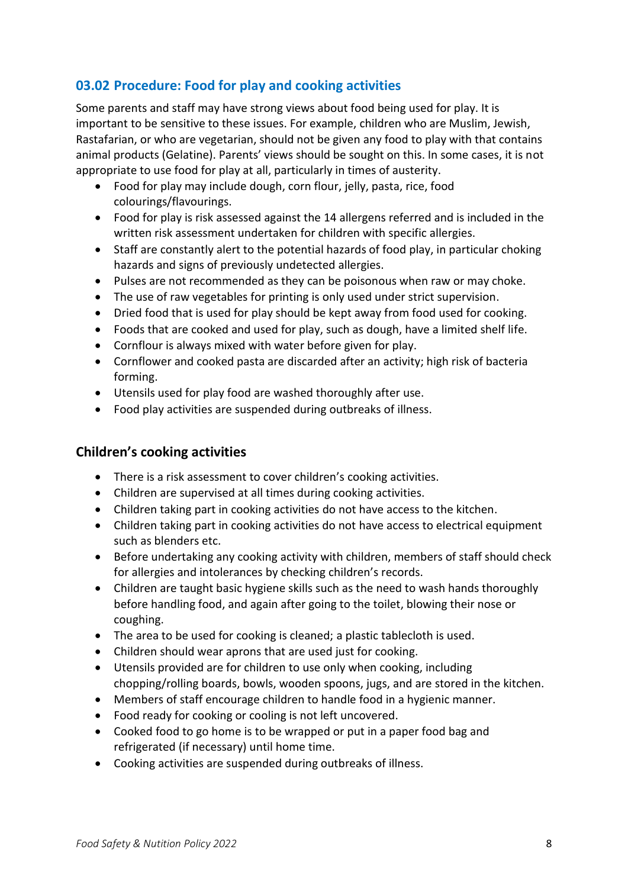## <span id="page-7-0"></span>**03.02 Procedure: Food for play and cooking activities**

Some parents and staff may have strong views about food being used for play. It is important to be sensitive to these issues. For example, children who are Muslim, Jewish, Rastafarian, or who are vegetarian, should not be given any food to play with that contains animal products (Gelatine). Parents' views should be sought on this. In some cases, it is not appropriate to use food for play at all, particularly in times of austerity.

- Food for play may include dough, corn flour, jelly, pasta, rice, food colourings/flavourings.
- Food for play is risk assessed against the 14 allergens referred and is included in the written risk assessment undertaken for children with specific allergies.
- Staff are constantly alert to the potential hazards of food play, in particular choking hazards and signs of previously undetected allergies.
- Pulses are not recommended as they can be poisonous when raw or may choke.
- The use of raw vegetables for printing is only used under strict supervision.
- Dried food that is used for play should be kept away from food used for cooking.
- Foods that are cooked and used for play, such as dough, have a limited shelf life.
- Cornflour is always mixed with water before given for play.
- Cornflower and cooked pasta are discarded after an activity; high risk of bacteria forming.
- Utensils used for play food are washed thoroughly after use.
- Food play activities are suspended during outbreaks of illness.

### <span id="page-7-1"></span>**Children's cooking activities**

- There is a risk assessment to cover children's cooking activities.
- Children are supervised at all times during cooking activities.
- Children taking part in cooking activities do not have access to the kitchen.
- Children taking part in cooking activities do not have access to electrical equipment such as blenders etc.
- Before undertaking any cooking activity with children, members of staff should check for allergies and intolerances by checking children's records.
- Children are taught basic hygiene skills such as the need to wash hands thoroughly before handling food, and again after going to the toilet, blowing their nose or coughing.
- The area to be used for cooking is cleaned; a plastic tablecloth is used.
- Children should wear aprons that are used just for cooking.
- Utensils provided are for children to use only when cooking, including chopping/rolling boards, bowls, wooden spoons, jugs, and are stored in the kitchen.
- Members of staff encourage children to handle food in a hygienic manner.
- Food ready for cooking or cooling is not left uncovered.
- Cooked food to go home is to be wrapped or put in a paper food bag and refrigerated (if necessary) until home time.
- Cooking activities are suspended during outbreaks of illness.